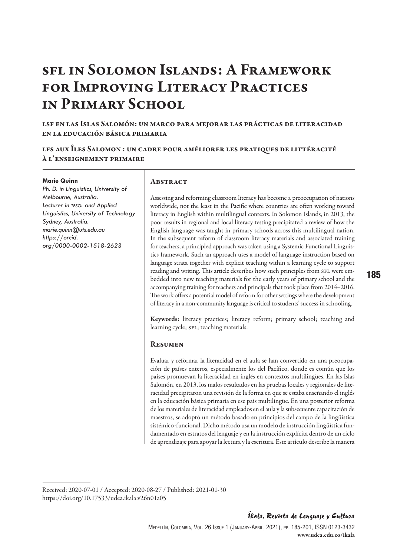# sfl in Solomon Islands: A Framework for Improving Literacy Practices in Primary School

lsf en las Islas Salomón: un marco para mejorar las prácticas de literacidad en la educación básica primaria

lfs aux Îles Salomon : un cadre pour améliorer les pratiques de littéracité à l'enseignement primaire

#### **Marie Quinn**

*Ph. D. in Linguistics, University of Melbourne, Australia. Lecturer in tesol and Applied Linguistics, University of Technology Sydney, Australia. [marie.quinn@uts.edu.au](mailto:marie.quinn@uts.edu.au) [https://orcid.](https://orcid.org/0000-0002-1518-2623) [org/0000-0002-1518-2623](https://orcid.org/0000-0002-1518-2623)*

#### **ABSTRACT**

Assessing and reforming classroom literacy has become a preoccupation of nations worldwide, not the least in the Pacific where countries are often working toward literacy in English within multilingual contexts. In Solomon Islands, in 2013, the poor results in regional and local literacy testing precipitated a review of how the English language was taught in primary schools across this multilingual nation. In the subsequent reform of classroom literacy materials and associated training for teachers, a principled approach was taken using a Systemic Functional Linguistics framework. Such an approach uses a model of language instruction based on language strata together with explicit teaching within a learning cycle to support reading and writing. This article describes how such principles from SFL were embedded into new teaching materials for the early years of primary school and the accompanying training for teachers and principals that took place from 2014–2016. The work offers a potential model of reform for other settings where the development of literacy in a non-community language is critical to students' success in schooling.

Keywords: literacy practices; literacy reform; primary school; teaching and learning cycle; SFL; teaching materials.

#### **RESUMEN**

Evaluar y reformar la literacidad en el aula se han convertido en una preocupación de países enteros, especialmente los del Pacífico, donde es común que los países promuevan la literacidad en inglés en contextos multilingües. En las Islas Salomón, en 2013, los malos resultados en las pruebas locales y regionales de literacidad precipitaron una revisión de la forma en que se estaba enseñando el inglés en la educación básica primaria en ese país multilingüe. En una posterior reforma de los materiales de literacidad empleados en el aula y la subsecuente capacitación de maestros, se adoptó un método basado en principios del campo de la lingüística sistémico-funcional. Dicho método usa un modelo de instrucción lingüística fundamentado en estratos del lenguaje y en la instrucción explícita dentro de un ciclo de aprendizaje para apoyar la lectura y la escritura. Este artículo describe la manera

Received: 2020-07-01 / Accepted: 2020-08-27 / Published: 2021-01-30 [https://doi.org/10.17533/udea.ikala.v26n01a](https://www.doi.org/10.17533/udea.ikala.v25n01a10)05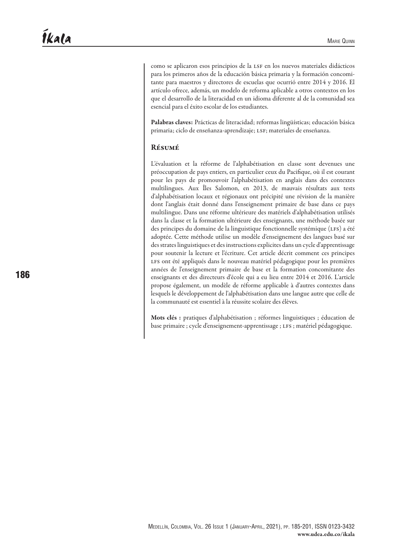como se aplicaron esos principios de la lsf en los nuevos materiales didácticos para los primeros años de la educación básica primaria y la formación concomitante para maestros y directores de escuelas que ocurrió entre 2014 y 2016. El artículo ofrece, además, un modelo de reforma aplicable a otros contextos en los que el desarrollo de la literacidad en un idioma diferente al de la comunidad sea esencial para el éxito escolar de los estudiantes.

Palabras claves: Prácticas de literacidad; reformas lingüísticas; educación básica primaria; ciclo de enseñanza-aprendizaje; lsf; materiales de enseñanza.

#### Résumé

L'évaluation et la réforme de l'alphabétisation en classe sont devenues une préoccupation de pays entiers, en particulier ceux du Pacifique, où il est courant pour les pays de promouvoir l'alphabétisation en anglais dans des contextes multilingues. Aux Îles Salomon, en 2013, de mauvais résultats aux tests d'alphabétisation locaux et régionaux ont précipité une révision de la manière dont l'anglais était donné dans l'enseignement primaire de base dans ce pays multilingue. Dans une réforme ultérieure des matériels d'alphabétisation utilisés dans la classe et la formation ultérieure des enseignants, une méthode basée sur des principes du domaine de la linguistique fonctionnelle systémique (LFS) a été adoptée. Cette méthode utilise un modèle d'enseignement des langues basé sur des strates linguistiques et des instructions explicites dans un cycle d'apprentissage pour soutenir la lecture et l'écriture. Cet article décrit comment ces principes LFS ont été appliqués dans le nouveau matériel pédagogique pour les premières années de l'enseignement primaire de base et la formation concomitante des enseignants et des directeurs d'école qui a eu lieu entre 2014 et 2016. L'article propose également, un modèle de réforme applicable à d'autres contextes dans lesquels le développement de l'alphabétisation dans une langue autre que celle de la communauté est essentiel à la réussite scolaire des élèves.

Mots clés : pratiques d'alphabétisation ; réformes linguistiques ; éducation de base primaire ; cycle d'enseignement-apprentissage ; LFS ; matériel pédagogique.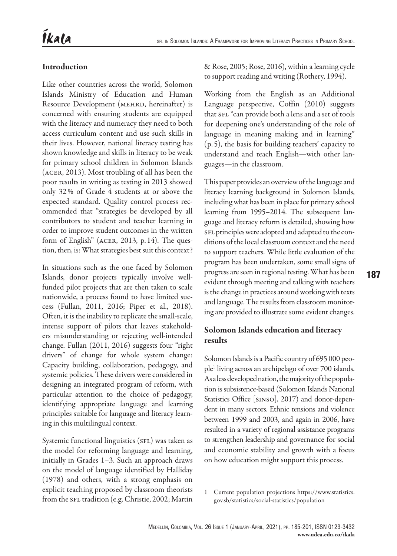# Introduction

Like other countries across the world, Solomon Islands Ministry of Education and Human Resource Development (MEHRD, hereinafter) is concerned with ensuring students are equipped with the literacy and numeracy they need to both access curriculum content and use such skills in their lives. However, national literacy testing has shown knowledge and skills in literacy to be weak for primary school children in Solomon Islands (acer, 2013). Most troubling of all has been the poor results in writing as testing in 2013 showed only 32% of Grade 4 students at or above the expected standard. Quality control process recommended that "strategies be developed by all contributors to student and teacher learning in order to improve student outcomes in the written form of English" (ACER, 2013, p.14). The question, then, is: What strategies best suit this context?

In situations such as the one faced by Solomon Islands, donor projects typically involve wellfunded pilot projects that are then taken to scale nationwide, a process found to have limited success (Fullan, 2011, 2016; Piper et al., 2018). Often, it is the inability to replicate the small-scale, intense support of pilots that leaves stakeholders misunderstanding or rejecting well-intended change. Fullan (2011, 2016) suggests four "right drivers" of change for whole system change: Capacity building, collaboration, pedagogy, and systemic policies. These drivers were considered in designing an integrated program of reform, with particular attention to the choice of pedagogy, identifying appropriate language and learning principles suitable for language and literacy learning in this multilingual context.

Systemic functional linguistics (SFL) was taken as the model for reforming language and learning, initially in Grades 1–3. Such an approach draws on the model of language identified by Halliday (1978) and others, with a strong emphasis on explicit teaching proposed by classroom theorists from the SFL tradition (e.g. Christie, 2002; Martin

& Rose, 2005; Rose, 2016), within a learning cycle to support reading and writing (Rothery, 1994).

Working from the English as an Additional Language perspective, Coffin (2010) suggests that SFL "can provide both a lens and a set of tools for deepening one's understanding of the role of language in meaning making and in learning" (p. 5), the basis for building teachers' capacity to understand and teach English—with other languages—in the classroom.

This paper provides an overview of the language and literacy learning background in Solomon Islands, including what has been in place for primary school learning from 1995–2014. The subsequent language and literacy reform is detailed, showing how sFL principles were adopted and adapted to the conditions of the local classroom context and the need to support teachers. While little evaluation of the program has been undertaken, some small signs of progress are seen in regional testing. What has been evident through meeting and talking with teachers is the change in practices around working with texts and language. The results from classroom monitoring are provided to illustrate some evident changes.

# Solomon Islands education and literacy results

Solomon Islands is a Pacific country of 695 000 people<sup>1</sup> living across an archipelago of over 700 islands. As a less developed nation, the majority of the population is subsistence-based (Solomon Islands National Statistics Office [sinso], 2017) and donor-dependent in many sectors. Ethnic tensions and violence between 1999 and 2003, and again in 2006, have resulted in a variety of regional assistance programs to strengthen leadership and governance for social and economic stability and growth with a focus on how education might support this process.

<sup>1</sup> Current population projections [https://www.statistics.](https://www.statistics.gov.sb/statistics/social-statistics/population) [gov.sb/statistics/social-statistics/population](https://www.statistics.gov.sb/statistics/social-statistics/population)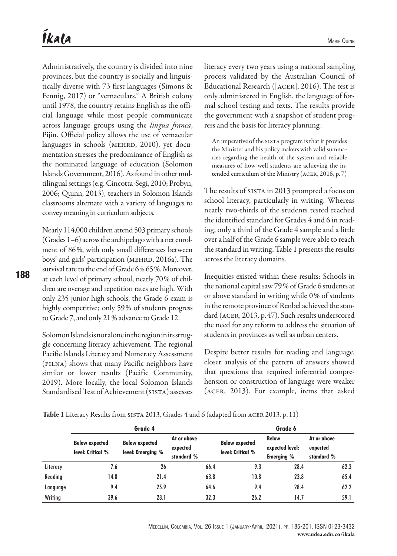Administratively, the country is divided into nine provinces, but the country is socially and linguistically diverse with 73 first languages (Simons & Fennig, 2017) or "vernaculars." A British colony until 1978, the country retains English as the official language while most people communicate across language groups using the *lingua franca*, Pijin. Official policy allows the use of vernacular languages in schools (MEHRD, 2010), yet documentation stresses the predominance of English as the nominated language of education (Solomon Islands Government, 2016). As found in other multilingual settings (e.g. Cincotta-Segi, 2010; Probyn, 2006; Quinn, 2013), teachers in Solomon Islands classrooms alternate with a variety of languages to convey meaning in curriculum subjects.

Nearly 114,000 children attend 503 primary schools (Grades 1–6) across the archipelago with a net enrolment of 86%, with only small differences between boys' and girls' participation (MEHRD, 2016a). The survival rate to the end of Grade 6 is 65%. Moreover, at each level of primary school, nearly 70% of children are overage and repetition rates are high. With only 235 junior high schools, the Grade 6 exam is highly competitive; only 59% of students progress to Grade 7, and only 21% advance to Grade 12.

Solomon Islands is not alone in the region in its struggle concerning literacy achievement. The regional Pacific Islands Literacy and Numeracy Assessment (pilna) shows that many Pacific neighbors have similar or lower results (Pacific Community, 2019). More locally, the local Solomon Islands Standardised Test of Achievement (SISTA) assesses

literacy every two years using a national sampling process validated by the Australian Council of Educational Research ([ACER], 2016). The test is only administered in English, the language of formal school testing and texts. The results provide the government with a snapshot of student progress and the basis for literacy planning:

An imperative of the SISTA program is that it provides the Minister and his policy makers with valid summaries regarding the health of the system and reliable measures of how well students are achieving the intended curriculum of the Ministry (acer, 2016, p. 7)

The results of sista in 2013 prompted a focus on school literacy, particularly in writing. Whereas nearly two-thirds of the students tested reached the identified standard for Grades 4 and 6 in reading, only a third of the Grade 4 sample and a little over a half of the Grade 6 sample were able to reach the standard in writing. Table 1 presents the results across the literacy domains.

Inequities existed within these results: Schools in the national capital saw 79% of Grade 6 students at or above standard in writing while 0% of students in the remote province of Renbel achieved the standard (acer, 2013, p.47). Such results underscored the need for any reform to address the situation of students in provinces as well as urban centers.

Despite better results for reading and language, closer analysis of the pattern of answers showed that questions that required inferential comprehension or construction of language were weaker (acer, 2013). For example, items that asked

Table 1 Literacy Results from sista 2013, Grades 4 and 6 (adapted from acer 2013, p. 11)

|          |                                            | Grade 4                                    | Grade 6                               |                                            |                                                      |                                       |      |
|----------|--------------------------------------------|--------------------------------------------|---------------------------------------|--------------------------------------------|------------------------------------------------------|---------------------------------------|------|
|          | <b>Below expected</b><br>level: Critical % | <b>Below expected</b><br>level: Emerging % | At or above<br>expected<br>standard % | <b>Below expected</b><br>level: Critical % | <b>Below</b><br>expected level:<br><b>Emerging %</b> | At or above<br>expected<br>standard % |      |
| Literacy | 7.6                                        | 26                                         | 66.4                                  | 9.3                                        | 28.4                                                 |                                       | 62.3 |
| Reading  | 14.8                                       | 21.4                                       | 63.8                                  | 10.8                                       | 23.8                                                 |                                       | 65.4 |
| Langvage | 9.4                                        | 25.9                                       | 64.6                                  | 9.4                                        | 28.4                                                 |                                       | 62.2 |
| Writing  | 39.6                                       | 28.1                                       | 32.3                                  | 26.2                                       | 14.7                                                 |                                       | 59.1 |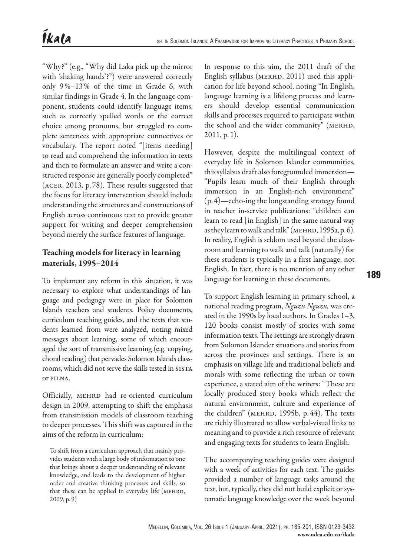"Why?" (e.g., "Why did Laka pick up the mirror with 'shaking hands'?") were answered correctly only 9%–13% of the time in Grade 6, with similar findings in Grade 4. In the language component, students could identify language items, such as correctly spelled words or the correct choice among pronouns, but struggled to complete sentences with appropriate connectives or vocabulary. The report noted "[items needing] to read and comprehend the information in texts and then to formulate an answer and write a constructed response are generally poorly completed" (acer, 2013, p. 78). These results suggested that the focus for literacy intervention should include understanding the structures and constructions of English across continuous text to provide greater support for writing and deeper comprehension beyond merely the surface features of language.

# Teaching models for literacy in learning materials, 1995–2014

To implement any reform in this situation, it was necessary to explore what understandings of language and pedagogy were in place for Solomon Islands teachers and students. Policy documents, curriculum teaching guides, and the texts that students learned from were analyzed, noting mixed messages about learning, some of which encouraged the sort of transmissive learning (e.g. copying, choral reading) that pervades Solomon Islands classrooms, which did not serve the skills tested in sista or pilna.

Officially, MEHRD had re-oriented curriculum design in 2009, attempting to shift the emphasis from transmission models of classroom teaching to deeper processes. This shift was captured in the aims of the reform in curriculum:

To shift from a curriculum approach that mainly provides students with a large body of information to one that brings about a deeper understanding of relevant knowledge, and leads to the development of higher order and creative thinking processes and skills, so that these can be applied in everyday life (MEHRD, 2009, p. 9)

In response to this aim, the 2011 draft of the English syllabus (MERHD, 2011) used this application for life beyond school, noting "In English, language learning is a lifelong process and learners should develop essential communication skills and processes required to participate within the school and the wider community" (MERHD, 2011, p. 1).

However, despite the multilingual context of everyday life in Solomon Islander communities, this syllabus draft also foregrounded immersion— "Pupils learn much of their English through immersion in an English-rich environment" (p. 4)—echo-ing the longstanding strategy found in teacher in-service publications: "children can learn to read [in English] in the same natural way as they learn to walk and talk" (MEHRD, 1995a, p. 6). In reality, English is seldom used beyond the classroom and learning to walk and talk (naturally) for these students is typically in a first language, not English. In fact, there is no mention of any other language for learning in these documents.

To support English learning in primary school, a national reading program, *Nguzu Nguzu,* was created in the 1990s by local authors. In Grades 1–3, 120 books consist mostly of stories with some information texts. The settings are strongly drawn from Solomon Islander situations and stories from across the provinces and settings. There is an emphasis on village life and traditional beliefs and morals with some reflecting the urban or town experience, a stated aim of the writers: "These are locally produced story books which reflect the natural environment, culture and experience of the children" (менкр, 1995b, р. 44). The texts are richly illustrated to allow verbal-visual links to meaning and to provide a rich resource of relevant and engaging texts for students to learn English.

The accompanying teaching guides were designed with a week of activities for each text. The guides provided a number of language tasks around the text, but, typically, they did not build explicit or systematic language knowledge over the week beyond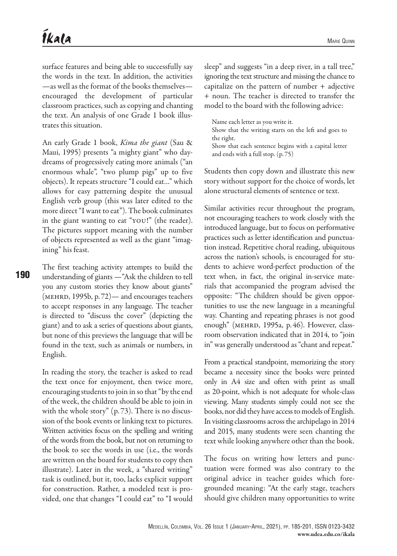surface features and being able to successfully say the words in the text. In addition, the activities —as well as the format of the books themselves encouraged the development of particular classroom practices, such as copying and chanting the text. An analysis of one Grade 1 book illustrates this situation.

An early Grade 1 book, *Kima the giant* (Sau & Maui, 1995) presents "a mighty giant" who daydreams of progressively eating more animals ("an enormous whale", "two plump pigs" up to five objects). It repeats structure "I could eat…" which allows for easy patterning despite the unusual English verb group (this was later edited to the more direct "I want to eat"). The book culminates in the giant wanting to eat "you!" (the reader). The pictures support meaning with the number of objects represented as well as the giant "imagining" his feast.

The first teaching activity attempts to build the understanding of giants —"Ask the children to tell you any custom stories they know about giants" (mehrd, 1995b, p.72)— and encourages teachers to accept responses in any language. The teacher is directed to "discuss the cover" (depicting the giant) and to ask a series of questions about giants, but none of this previews the language that will be found in the text, such as animals or numbers, in English.

In reading the story, the teacher is asked to read the text once for enjoyment, then twice more, encouraging students to join in so that "by the end of the week, the children should be able to join in with the whole story" (p.73). There is no discussion of the book events or linking text to pictures. Written activities focus on the spelling and writing of the words from the book, but not on returning to the book to see the words in use (i.e., the words are written on the board for students to copy then illustrate). Later in the week, a "shared writing" task is outlined, but it, too, lacks explicit support for construction. Rather, a modeled text is provided, one that changes "I could eat" to "I would

sleep" and suggests "in a deep river, in a tall tree," ignoring the text structure and missing the chance to capitalize on the pattern of number + adjective + noun. The teacher is directed to transfer the model to the board with the following advice:

Name each letter as you write it. Show that the writing starts on the left and goes to the right. Show that each sentence begins with a capital letter and ends with a full stop. (p. 75)

Students then copy down and illustrate this new story without support for the choice of words, let alone structural elements of sentence or text.

Similar activities recur throughout the program, not encouraging teachers to work closely with the introduced language, but to focus on performative practices such as letter identification and punctuation instead. Repetitive choral reading, ubiquitous across the nation's schools, is encouraged for students to achieve word-perfect production of the text when, in fact, the original in-service materials that accompanied the program advised the opposite: "The children should be given opportunities to use the new language in a meaningful way. Chanting and repeating phrases is not good enough" (MEHRD, 1995a, p.46). However, classroom observation indicated that in 2014, to "join in" was generally understood as "chant and repeat."

From a practical standpoint, memorizing the story became a necessity since the books were printed only in A4 size and often with print as small as 20-point, which is not adequate for whole-class viewing. Many students simply could not see the books, nor did they have access to models of English. In visiting classrooms across the archipelago in 2014 and 2015, many students were seen chanting the text while looking anywhere other than the book.

The focus on writing how letters and punctuation were formed was also contrary to the original advice in teacher guides which foregrounded meaning: "At the early stage, teachers should give children many opportunities to write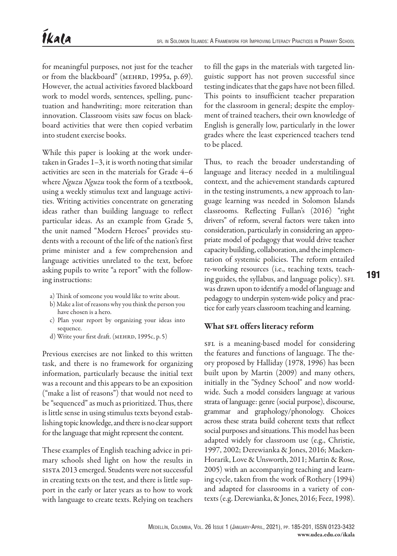for meaningful purposes, not just for the teacher or from the blackboard" (MEHRD, 1995a, p. 69). However, the actual activities favored blackboard work to model words, sentences, spelling, punctuation and handwriting; more reiteration than innovation. Classroom visits saw focus on blackboard activities that were then copied verbatim into student exercise books.

While this paper is looking at the work undertaken in Grades 1–3, it is worth noting that similar activities are seen in the materials for Grade 4–6 where *Nguzu Nguzu* took the form of a textbook, using a weekly stimulus text and language activities. Writing activities concentrate on generating ideas rather than building language to reflect particular ideas. As an example from Grade 5, the unit named "Modern Heroes" provides students with a recount of the life of the nation's first prime minister and a few comprehension and language activities unrelated to the text, before asking pupils to write "a report" with the following instructions:

- a) Think of someone you would like to write about.
- b) Make a list of reasons why you think the person you have chosen is a hero.
- c) Plan your report by organizing your ideas into sequence.
- d) Write your first draft. (MEHRD, 1995c, p. 5)

Previous exercises are not linked to this written task, and there is no framework for organizing information, particularly because the initial text was a recount and this appears to be an exposition ("make a list of reasons") that would not need to be "sequenced" as much as prioritized. Thus, there is little sense in using stimulus texts beyond establishing topic knowledge, and there is no clear support for the language that might represent the content.

These examples of English teaching advice in primary schools shed light on how the results in sista 2013 emerged. Students were not successful in creating texts on the test, and there is little support in the early or later years as to how to work with language to create texts. Relying on teachers

to fill the gaps in the materials with targeted linguistic support has not proven successful since testing indicates that the gaps have not been filled. This points to insufficient teacher preparation for the classroom in general; despite the employment of trained teachers, their own knowledge of English is generally low, particularly in the lower grades where the least experienced teachers tend to be placed.

Thus, to reach the broader understanding of language and literacy needed in a multilingual context, and the achievement standards captured in the testing instruments, a new approach to language learning was needed in Solomon Islands classrooms. Reflecting Fullan's (2016) "right drivers" of reform, several factors were taken into consideration, particularly in considering an appropriate model of pedagogy that would drive teacher capacity building, collaboration, and the implementation of systemic policies. The reform entailed re-working resources (i.e., teaching texts, teaching guides, the syllabus, and language policy). SFL was drawn upon to identify a model of language and pedagogy to underpin system-wide policy and practice for early years classroom teaching and learning.

## What SFL offers literacy reform

SFL is a meaning-based model for considering the features and functions of language. The theory proposed by Halliday (1978, 1996) has been built upon by Martin (2009) and many others, initially in the "Sydney School" and now worldwide. Such a model considers language at various strata of language: genre (social purpose), discourse, grammar and graphology/phonology. Choices across these strata build coherent texts that reflect social purposes and situations. This model has been adapted widely for classroom use (e.g., Christie, 1997, 2002; Derewianka & Jones, 2016; Macken-Horarik, Love & Unsworth, 2011; Martin & Rose, 2005) with an accompanying teaching and learning cycle, taken from the work of Rothery (1994) and adapted for classrooms in a variety of contexts (e.g. Derewianka, & Jones, 2016; Feez, 1998).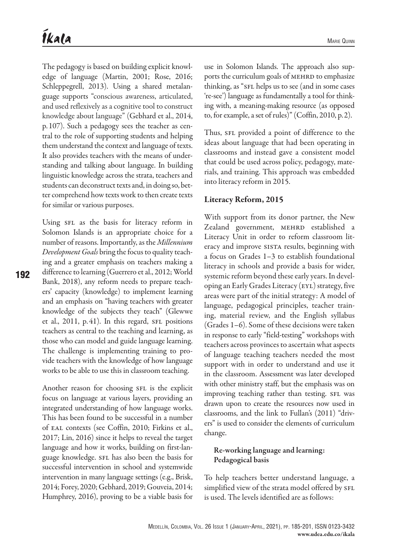The pedagogy is based on building explicit knowledge of language (Martin, 2001; Rose, 2016; Schleppegrell, 2013). Using a shared metalanguage supports "conscious awareness, articulated, and used reflexively as a cognitive tool to construct knowledge about language" (Gebhard et al., 2014, p.107). Such a pedagogy sees the teacher as central to the role of supporting students and helping them understand the context and language of texts. It also provides teachers with the means of understanding and talking about language. In building linguistic knowledge across the strata, teachers and students can deconstruct texts and, in doing so, better comprehend how texts work to then create texts for similar or various purposes.

Using SFL as the basis for literacy reform in Solomon Islands is an appropriate choice for a number of reasons. Importantly, as the *Millennium Development Goals* bring the focus to quality teaching and a greater emphasis on teachers making a difference to learning (Guerrero et al., 2012; World Bank, 2018), any reform needs to prepare teachers' capacity (knowledge) to implement learning and an emphasis on "having teachers with greater knowledge of the subjects they teach" (Glewwe et al.,  $2011$ ,  $p.41$ ). In this regard,  $SFL$  positions teachers as central to the teaching and learning, as those who can model and guide language learning. The challenge is implementing training to provide teachers with the knowledge of how language works to be able to use this in classroom teaching.

Another reason for choosing SFL is the explicit focus on language at various layers, providing an integrated understanding of how language works. This has been found to be successful in a number of eal contexts (see Coffin, 2010; Firkins et al., 2017; Lin, 2016) since it helps to reveal the target language and how it works, building on first-language knowledge. SFL has also been the basis for successful intervention in school and systemwide intervention in many language settings (e.g., Brisk, 2014; Forey, 2020; Gebhard, 2019; Gouveia, 2014; Humphrey, 2016), proving to be a viable basis for

use in Solomon Islands. The approach also supports the curriculum goals of MEHRD to emphasize thinking, as "SFL helps us to see (and in some cases 're-see') language as fundamentally a tool for thinking with, a meaning-making resource (as opposed to, for example, a set of rules)" (Coffin, 2010, p.2).

Thus, SFL provided a point of difference to the ideas about language that had been operating in classrooms and instead gave a consistent model that could be used across policy, pedagogy, materials, and training. This approach was embedded into literacy reform in 2015.

#### Literacy Reform, 2015

With support from its donor partner, the New Zealand government, MEHRD established a Literacy Unit in order to reform classroom literacy and improve SISTA results, beginning with a focus on Grades 1–3 to establish foundational literacy in schools and provide a basis for wider, systemic reform beyond these early years. In developing an Early Grades Literacy (EYL) strategy, five areas were part of the initial strategy: A model of language, pedagogical principles, teacher training, material review, and the English syllabus (Grades 1–6). Some of these decisions were taken in response to early "field-testing" workshops with teachers across provinces to ascertain what aspects of language teaching teachers needed the most support with in order to understand and use it in the classroom. Assessment was later developed with other ministry staff, but the emphasis was on improving teaching rather than testing. SFL was drawn upon to create the resources now used in classrooms, and the link to Fullan's (2011) "drivers" is used to consider the elements of curriculum change.

## Re-working language and learning: Pedagogical basis

To help teachers better understand language, a simplified view of the strata model offered by SFL is used. The levels identified are as follows: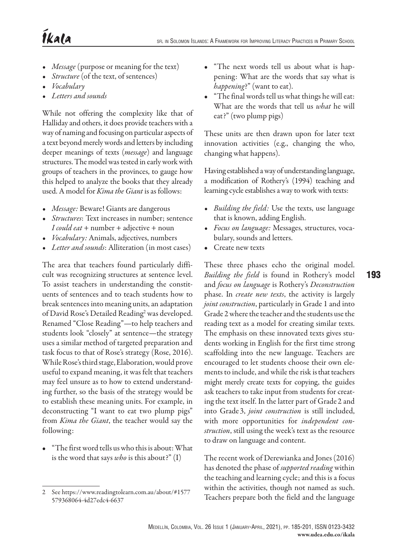- *• Message* (purpose or meaning for the text)
- *Structure* (of the text, of sentences)
- *• Vocabulary*
- *• Letters and sounds*

While not offering the complexity like that of Halliday and others, it does provide teachers with a way of naming and focusing on particular aspects of a text beyond merely words and letters by including deeper meanings of texts (*message*) and language structures. The model was tested in early work with groups of teachers in the provinces, to gauge how this helped to analyze the books that they already used. A model for *Kima the Giant* is as follows:

- *• Message:* Beware! Giants are dangerous
- *• Structures*: Text increases in number; sentence *I could eat* + number + adjective + noun
- *• Vocabulary:* Animals, adjectives, numbers
- *• Letter and sounds*: Alliteration (in most cases)

The area that teachers found particularly difficult was recognizing structures at sentence level. To assist teachers in understanding the constituents of sentences and to teach students how to break sentences into meaning units, an adaptation of David Rose's Detailed Reading<sup>2</sup> was developed. Renamed "Close Reading"—to help teachers and students look "closely" at sentence—the strategy uses a similar method of targeted preparation and task focus to that of Rose's strategy (Rose, 2016). While Rose's third stage, Elaboration, would prove useful to expand meaning, it was felt that teachers may feel unsure as to how to extend understanding further, so the basis of the strategy would be to establish these meaning units. For example, in deconstructing "I want to eat two plump pigs" from *Kima the Giant*, the teacher would say the following:

• "The first word tells us who this is about: What is the word that says *who* is this about?" (I)

- "The next words tell us about what is happening: What are the words that say what is *happening*?" (want to eat).
- "The final words tell us what things he will eat: What are the words that tell us *what* he will eat?" (two plump pigs)

These units are then drawn upon for later text innovation activities (e.g., changing the who, changing what happens).

Having established a way of understanding language, a modification of Rothery's (1994) teaching and learning cycle establishes a way to work with texts:

- *• Building the field:* Use the texts, use language that is known, adding English.
- *• Focus on language:* Messages, structures, vocabulary, sounds and letters.

193

• Create new texts

These three phases echo the original model. *Building the field* is found in Rothery's model and *focus on language* is Rothery's *Deconstruction*  phase. In *create new texts*, the activity is largely *joint construction*, particularly in Grade 1 and into Grade 2 where the teacher and the students use the reading text as a model for creating similar texts. The emphasis on these innovated texts gives students working in English for the first time strong scaffolding into the new language. Teachers are encouraged to let students choose their own elements to include, and while the risk is that teachers might merely create texts for copying, the guides ask teachers to take input from students for creating the text itself. In the latter part of Grade 2 and into Grade 3, *joint construction* is still included, with more opportunities for *independent construction*, still using the week's text as the resource to draw on language and content.

The recent work of Derewianka and Jones (2016) has denoted the phase of *supported reading* within the teaching and learning cycle; and this is a focus within the activities, though not named as such. Teachers prepare both the field and the language

<sup>2</sup> See [https://www.readingtolearn.com.au/about/#1577](https://www.readingtolearn.com.au/about/#1577579368064-4d27edc4-6637)  [579368064-4d27edc4-6637](https://www.readingtolearn.com.au/about/#1577579368064-4d27edc4-6637)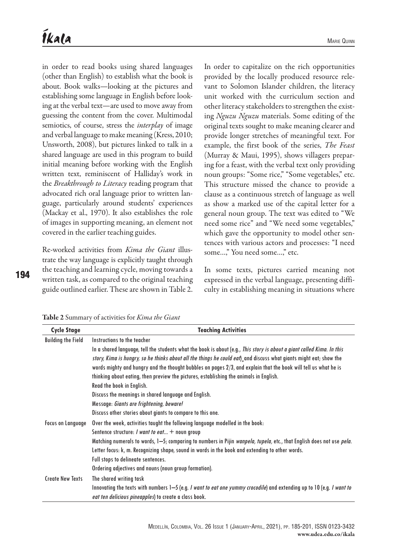in order to read books using shared languages (other than English) to establish what the book is about. Book walks—looking at the pictures and establishing some language in English before looking at the verbal text—are used to move away from guessing the content from the cover. Multimodal semiotics, of course, stress the *interplay* of image and verbal language to make meaning (Kress, 2010; Unsworth, 2008), but pictures linked to talk in a shared language are used in this program to build initial meaning before working with the English written text, reminiscent of Halliday's work in the *Breakthrough to Literacy* reading program that advocated rich oral language prior to written language, particularly around students' experiences (Mackay et al., 1970). It also establishes the role of images in supporting meaning, an element not covered in the earlier teaching guides.

Re-worked activities from *Kima the Giant* illustrate the way language is explicitly taught through the teaching and learning cycle, moving towards a written task, as compared to the original teaching guide outlined earlier. These are shown in Table 2.

In order to capitalize on the rich opportunities provided by the locally produced resource relevant to Solomon Islander children, the literacy unit worked with the curriculum section and other literacy stakeholders to strengthen the existing *Nguzu Nguzu* materials. Some editing of the original texts sought to make meaning clearer and provide longer stretches of meaningful text. For example, the first book of the series, *The Feast* (Murray & Maui, 1995), shows villagers preparing for a feast, with the verbal text only providing noun groups: "Some rice," "Some vegetables," etc. This structure missed the chance to provide a clause as a continuous stretch of language as well as show a marked use of the capital letter for a general noun group. The text was edited to "We need some rice" and "We need some vegetables," which gave the opportunity to model other sentences with various actors and processes: "I need some…," You need some…," etc.

In some texts, pictures carried meaning not expressed in the verbal language, presenting difficulty in establishing meaning in situations where

194

|  |  | <b>Table 2</b> Summary of activities for <i>Kima the Giant</i> |  |  |  |  |  |  |
|--|--|----------------------------------------------------------------|--|--|--|--|--|--|
|--|--|----------------------------------------------------------------|--|--|--|--|--|--|

| <b>Cycle Stage</b>        | <b>Teaching Activities</b>                                                                                                           |
|---------------------------|--------------------------------------------------------------------------------------------------------------------------------------|
| <b>Building the Field</b> | Instructions to the teacher                                                                                                          |
|                           | In a shared language, tell the students what the book is about (e.g., This story is about a giant called Kima. In this               |
|                           | story, Kima is hungry, so he thinks about all the things he could eat), and discuss what giants might eat; show the                  |
|                           | words mighty and hungry and the thought bubbles on pages 2/3, and explain that the book will tell us what he is                      |
|                           | thinking about eating, then preview the pictures, establishing the animals in English.                                               |
|                           | Read the book in English.                                                                                                            |
|                           | Discuss the meanings in shared language and English.                                                                                 |
|                           | Message: Giants are frightening, beware!                                                                                             |
|                           | Discuss other stories about giants to compare to this one.                                                                           |
| Focus on Language         | Over the week, activities taught the following language modelled in the book:                                                        |
|                           | Sentence structure: <i>I want to eat</i> $+$ noun group                                                                              |
|                           | Matching numerals to words, 1—5; comparing to numbers in Pijin <i>wanpela, tupela,</i> etc., that English does not use <i>pela.</i>  |
|                           | Letter focus: k, m. Recognizing shape, sound in words in the book and extending to other words.                                      |
|                           | Full stops to delineate sentences.                                                                                                   |
|                           | Ordering adjectives and nouns (noun group formation).                                                                                |
| <b>Create New Texts</b>   | The shared writing task                                                                                                              |
|                           | Innovating the texts with numbers 1-5 (e.g. <i>I want to eat one yummy crocodile</i> ) and extending up to 10 (e.g. <i>I want to</i> |
|                           | eat ten delicious pineapples) to create a class book.                                                                                |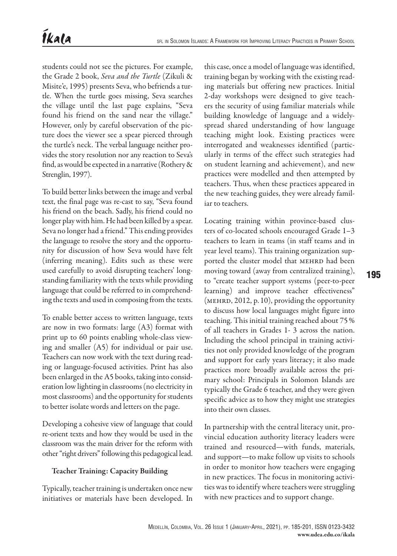students could not see the pictures. For example, the Grade 2 book, *Seva and the Turtle* (Zikuli & Misite'e, 1995) presents Seva, who befriends a turtle. When the turtle goes missing, Seva searches the village until the last page explains, "Seva found his friend on the sand near the village." However, only by careful observation of the picture does the viewer see a spear pierced through the turtle's neck. The verbal language neither provides the story resolution nor any reaction to Seva's find, as would be expected in a narrative (Rothery & Strenglin, 1997).

To build better links between the image and verbal text, the final page was re-cast to say, "Seva found his friend on the beach. Sadly, his friend could no longer play with him. He had been killed by a spear. Seva no longer had a friend." This ending provides the language to resolve the story and the opportunity for discussion of how Seva would have felt (inferring meaning). Edits such as these were used carefully to avoid disrupting teachers' longstanding familiarity with the texts while providing language that could be referred to in comprehending the texts and used in composing from the texts.

To enable better access to written language, texts are now in two formats: large (A3) format with print up to 60 points enabling whole-class viewing and smaller (A5) for individual or pair use. Teachers can now work with the text during reading or language-focused activities. Print has also been enlarged in the A5 books, taking into consideration low lighting in classrooms (no electricity in most classrooms) and the opportunity for students to better isolate words and letters on the page.

Developing a cohesive view of language that could re-orient texts and how they would be used in the classroom was the main driver for the reform with other "right drivers" following this pedagogical lead.

## Teacher Training: Capacity Building

Typically, teacher training is undertaken once new initiatives or materials have been developed. In

this case, once a model of language was identified, training began by working with the existing reading materials but offering new practices. Initial 2-day workshops were designed to give teachers the security of using familiar materials while building knowledge of language and a widelyspread shared understanding of how language teaching might look. Existing practices were interrogated and weaknesses identified (particularly in terms of the effect such strategies had on student learning and achievement), and new practices were modelled and then attempted by teachers. Thus, when these practices appeared in the new teaching guides, they were already familiar to teachers.

Locating training within province-based clusters of co-located schools encouraged Grade 1–3 teachers to learn in teams (in staff teams and in year level teams). This training organization supported the cluster model that MEHRD had been moving toward (away from centralized training), to "create teacher support systems (peer-to-peer learning) and improve teacher effectiveness" (MEHRD, 2012, p. 10), providing the opportunity to discuss how local languages might figure into teaching. This initial training reached about 75% of all teachers in Grades 1- 3 across the nation. Including the school principal in training activities not only provided knowledge of the program and support for early years literacy; it also made practices more broadly available across the primary school: Principals in Solomon Islands are typically the Grade 6 teacher, and they were given specific advice as to how they might use strategies into their own classes.

In partnership with the central literacy unit, provincial education authority literacy leaders were trained and resourced—with funds, materials, and support—to make follow up visits to schools in order to monitor how teachers were engaging in new practices. The focus in monitoring activities was to identify where teachers were struggling with new practices and to support change.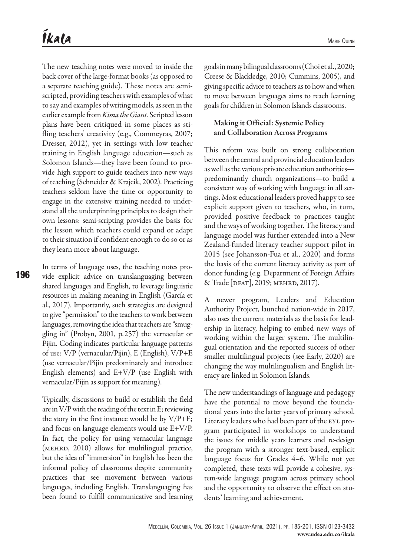The new teaching notes were moved to inside the back cover of the large-format books (as opposed to a separate teaching guide). These notes are semiscripted, providing teachers with examples of what to say and examples of writing models, as seen in the earlier example from *Kima the Giant.* Scripted lesson plans have been critiqued in some places as stifling teachers' creativity (e.g., Commeyras, 2007; Dresser, 2012), yet in settings with low teacher training in English language education—such as Solomon Islands—they have been found to provide high support to guide teachers into new ways of teaching (Schneider & Krajcik, 2002). Practicing teachers seldom have the time or opportunity to engage in the extensive training needed to understand all the underpinning principles to design their own lessons: semi-scripting provides the basis for the lesson which teachers could expand or adapt to their situation if confident enough to do so or as they learn more about language.

In terms of language uses, the teaching notes provide explicit advice on translanguaging between shared languages and English, to leverage linguistic resources in making meaning in English (García et al., 2017). Importantly, such strategies are designed to give "permission" to the teachers to work between languages, removing the idea that teachers are "smuggling in" (Probyn, 2001, p.257) the vernacular or Pijin. Coding indicates particular language patterns of use: V/P (vernacular/Pijin), E (English), V/P+E (use vernacular/Pijin predominately and introduce English elements) and E+V/P (use English with vernacular/Pijin as support for meaning).

Typically, discussions to build or establish the field are in V/P with the reading of the text in E; reviewing the story in the first instance would be by V/P+E; and focus on language elements would use E+V/P. In fact, the policy for using vernacular language (mehrd, 2010) allows for multilingual practice, but the idea of "immersion" in English has been the informal policy of classrooms despite community practices that see movement between various languages, including English. Translanguaging has been found to fulfill communicative and learning goals in many bilingual classrooms (Choi et al., 2020; Creese & Blackledge, 2010; Cummins, 2005), and giving specific advice to teachers as to how and when to move between languages aims to reach learning goals for children in Solomon Islands classrooms.

## Making it Official: Systemic Policy and Collaboration Across Programs

This reform was built on strong collaboration between the central and provincial education leaders as well as the various private education authorities predominantly church organizations—to build a consistent way of working with language in all settings. Most educational leaders proved happy to see explicit support given to teachers, who, in turn, provided positive feedback to practices taught and the ways of working together. The literacy and language model was further extended into a New Zealand-funded literacy teacher support pilot in 2015 (see Johansson-Fua et al., 2020) and forms the basis of the current literacy activity as part of donor funding (e.g. Department of Foreign Affairs & Trade [DFAT], 2019; MEHRD, 2017).

A newer program, Leaders and Education Authority Project, launched nation-wide in 2017, also uses the current materials as the basis for leadership in literacy, helping to embed new ways of working within the larger system. The multilingual orientation and the reported success of other smaller multilingual projects (see Early, 2020) are changing the way multilingualism and English literacy are linked in Solomon Islands.

The new understandings of language and pedagogy have the potential to move beyond the foundational years into the latter years of primary school. Literacy leaders who had been part of the EYL program participated in workshops to understand the issues for middle years learners and re-design the program with a stronger text-based, explicit language focus for Grades 4–6. While not yet completed, these texts will provide a cohesive, system-wide language program across primary school and the opportunity to observe the effect on students' learning and achievement.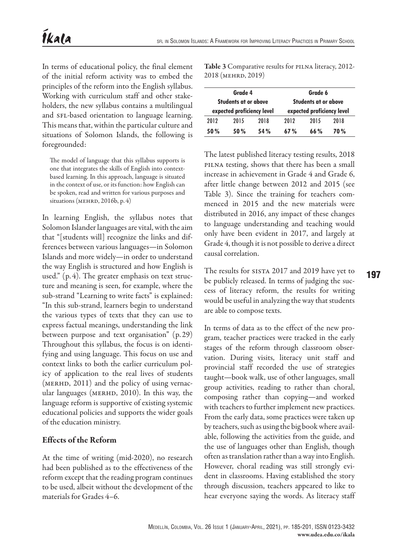In terms of educational policy, the final element of the initial reform activity was to embed the principles of the reform into the English syllabus. Working with curriculum staff and other stakeholders, the new syllabus contains a multilingual and SFL-based orientation to language learning. This means that, within the particular culture and situations of Solomon Islands, the following is foregrounded:

The model of language that this syllabus supports is one that integrates the skills of English into contextbased learning. In this approach, language is situated in the context of use, or its function: how English can be spoken, read and written for various purposes and situations (MEHRD, 2016b, p. 4)

In learning English, the syllabus notes that Solomon Islander languages are vital, with the aim that "[students will] recognize the links and differences between various languages—in Solomon Islands and more widely—in order to understand the way English is structured and how English is used." (p. 4). The greater emphasis on text structure and meaning is seen, for example, where the sub-strand "Learning to write facts" is explained: "In this sub-strand, learners begin to understand the various types of texts that they can use to express factual meanings, understanding the link between purpose and text organisation" (p. 29) Throughout this syllabus, the focus is on identifying and using language. This focus on use and context links to both the earlier curriculum policy of application to the real lives of students  $(MERHD, 2011)$  and the policy of using vernacular languages (MERHD, 2010). In this way, the language reform is supportive of existing systemic educational policies and supports the wider goals of the education ministry.

## Effects of the Reform

At the time of writing (mid-2020), no research had been published as to the effectiveness of the reform except that the reading program continues to be used, albeit without the development of the materials for Grades 4–6.

Table 3 Comparative results for PILNA literacy, 2012-2018 (mehrd, 2019)

|      | Grade 4                                            |      | Grade 6<br>Students at or above<br>expected proficiency level |      |            |  |
|------|----------------------------------------------------|------|---------------------------------------------------------------|------|------------|--|
|      | Students at or above<br>expected proficiency level |      |                                                               |      |            |  |
| 2012 | 2015                                               | 2018 | 2012                                                          | 2015 | 2018       |  |
| 50%  | 50 %                                               | 54%  | 67%                                                           | 66%  | <b>70%</b> |  |

The latest published literacy testing results, 2018 pilna testing, shows that there has been a small increase in achievement in Grade 4 and Grade 6, after little change between 2012 and 2015 (see Table 3). Since the training for teachers commenced in 2015 and the new materials were distributed in 2016, any impact of these changes to language understanding and teaching would only have been evident in 2017, and largely at Grade 4, though it is not possible to derive a direct causal correlation.

The results for SISTA 2017 and 2019 have yet to be publicly released. In terms of judging the success of literacy reform, the results for writing would be useful in analyzing the way that students are able to compose texts.

In terms of data as to the effect of the new program, teacher practices were tracked in the early stages of the reform through classroom observation. During visits, literacy unit staff and provincial staff recorded the use of strategies taught—book walk, use of other languages, small group activities, reading to rather than choral, composing rather than copying—and worked with teachers to further implement new practices. From the early data, some practices were taken up by teachers, such as using the big book where available, following the activities from the guide, and the use of languages other than English, though often as translation rather than a way into English. However, choral reading was still strongly evident in classrooms. Having established the story through discussion, teachers appeared to like to hear everyone saying the words. As literacy staff 197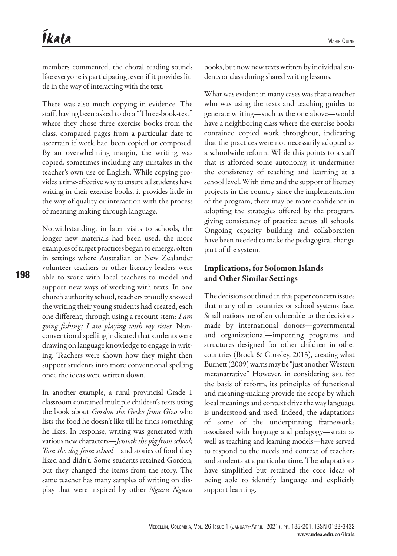members commented, the choral reading sounds like everyone is participating, even if it provides little in the way of interacting with the text.

There was also much copying in evidence. The staff, having been asked to do a "Three-book-test" where they chose three exercise books from the class, compared pages from a particular date to ascertain if work had been copied or composed. By an overwhelming margin, the writing was copied, sometimes including any mistakes in the teacher's own use of English. While copying provides a time-effective way to ensure all students have writing in their exercise books, it provides little in the way of quality or interaction with the process of meaning making through language.

Notwithstanding, in later visits to schools, the longer new materials had been used, the more examples of target practices began to emerge, often in settings where Australian or New Zealander volunteer teachers or other literacy leaders were able to work with local teachers to model and support new ways of working with texts. In one church authority school, teachers proudly showed the writing their young students had created, each one different, through using a recount stem: *I am going fishing; I am playing with my sister.* Nonconventional spelling indicated that students were drawing on language knowledge to engage in writing. Teachers were shown how they might then support students into more conventional spelling once the ideas were written down.

In another example, a rural provincial Grade 1 classroom contained multiple children's texts using the book about *Gordon the Gecko from Gizo* who lists the food he doesn't like till he finds something he likes. In response, writing was generated with various new characters—*Jennah the pig from school; Tom the dog from school*—and stories of food they liked and didn't. Some students retained Gordon, but they changed the items from the story. The same teacher has many samples of writing on display that were inspired by other *Nguzu Nguzu*

books, but now new texts written by individual students or class during shared writing lessons.

What was evident in many cases was that a teacher who was using the texts and teaching guides to generate writing—such as the one above—would have a neighboring class where the exercise books contained copied work throughout, indicating that the practices were not necessarily adopted as a schoolwide reform. While this points to a staff that is afforded some autonomy, it undermines the consistency of teaching and learning at a school level. With time and the support of literacy projects in the country since the implementation of the program, there may be more confidence in adopting the strategies offered by the program, giving consistency of practice across all schools. Ongoing capacity building and collaboration have been needed to make the pedagogical change part of the system.

## Implications, for Solomon Islands and Other Similar Settings

The decisions outlined in this paper concern issues that many other countries or school systems face. Small nations are often vulnerable to the decisions made by international donors—governmental and organizational—importing programs and structures designed for other children in other countries (Brock & Crossley, 2013), creating what Burnett (2009) warns may be "just another Western metanarrative" However, in considering SFL for the basis of reform, its principles of functional and meaning-making provide the scope by which local meanings and context drive the way language is understood and used. Indeed, the adaptations of some of the underpinning frameworks associated with language and pedagogy—strata as well as teaching and learning models—have served to respond to the needs and context of teachers and students at a particular time. The adaptations have simplified but retained the core ideas of being able to identify language and explicitly support learning.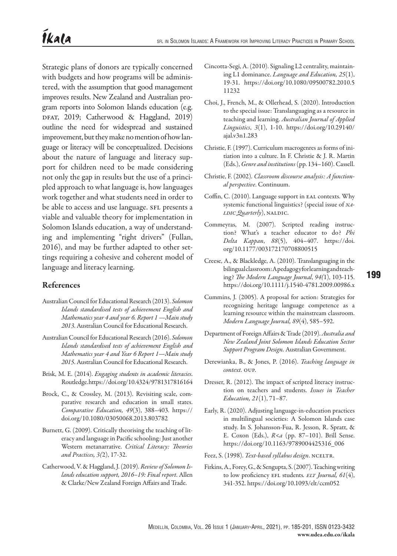Strategic plans of donors are typically concerned with budgets and how programs will be administered, with the assumption that good management improves results. New Zealand and Australian program reports into Solomon Islands education (e.g. DFAT, 2019; Catherwood & Haggland, 2019) outline the need for widespread and sustained improvement, but they make no mention of how language or literacy will be conceptualized. Decisions about the nature of language and literacy support for children need to be made considering not only the gap in results but the use of a principled approach to what language is, how languages work together and what students need in order to be able to access and use language. SFL presents a viable and valuable theory for implementation in Solomon Islands education, a way of understanding and implementing "right drivers" (Fullan, 2016), and may be further adapted to other settings requiring a cohesive and coherent model of language and literacy learning.

## References

- Australian Council for Educational Research (2013). *Solomon Islands standardised tests of achievement English and Mathematics year 4 and year 6. Report 1 —Main study 2013*. Australian Council for Educational Research.
- Australian Council for Educational Research (2016). *Solomon Islands standardised tests of achievement English and Mathematics year 4 and Year 6 Report 1—Main study 2015*. Australian Council for Educational Research.
- Brisk, M. E. (2014). *Engaging students in academic literacies*. Routledge.<https://doi.org/10.4324/9781317816164>
- Brock, C., & Crossley, M. (2013). Revisiting scale, comparative research and education in small states. *Comparative Education, 49*(3), 388–403. [https://](https://doi.org/10.1080/03050068.2013.803782) [doi.org/10.1080/03050068.2013.803782](https://doi.org/10.1080/03050068.2013.803782)
- Burnett, G. (2009). Critically theorising the teaching of literacy and language in Pacific schooling: Just another Western metanarrative. *Critical Literacy: Theories and Practices, 3(*2), 17-32.
- Catherwood, V. & Haggland, J. (2019). *Review of Solomon Islands education support, 2016–19: Final report*. Allen & Clarke/New Zealand Foreign Affairs and Trade.
- Cincotta-Segi, A. (2010). Signaling L2 centrality, maintaining L1 dominance. *Language and Education, 25*(1), 19-31. [https://doi.org/10.1080/09500782.2010.5](https://doi.org/10.1080/09500782.2010.511232) [11232](https://doi.org/10.1080/09500782.2010.511232)
- Choi, J., French, M., & Ollerhead, S. (2020). Introduction to the special issue: Translanguaging as a resource in teaching and learning. *Australian Journal of Applied Linguistics*, *3*(1), 1-10. [https://doi.org/10.29140/](https://doi.org/10.29140/ajal.v3n1.283) [ajal.v3n1.283](https://doi.org/10.29140/ajal.v3n1.283)
- Christie, F. (1997). Curriculum macrogenres as forms of initiation into a culture. In F. Christie & J. R. Martin (Eds.), *Genre and institutions* (pp.134–160). Cassell.
- Christie, F. (2002). *Classroom discourse analysis: A functional perspective*. Continuum.
- Coffin, C. (2010). Language support in eal contexts. Why systemic functional linguistics? (special issue of *na-LDIC Quarterly*), NALDIC.
- Commeyras, M. (2007). Scripted reading instruction? What's a teacher educator to do? *Phi Delta Kappan*, *88*(5), 404–407. [https://doi.](https://doi.org/10.1177/003172170708800515) [org/10.1177/003172170708800515](https://doi.org/10.1177/003172170708800515)
- Creese, A., & Blackledge, A. (2010). Translanguaging in the bilingual classroom: A pedagogy for learning and teaching? *The Modern Language Journal*, *94(*1), 103-115. <https://doi.org/10.1111/j.1540-4781.2009.00986.x>
- Cummins, J. (2005). A proposal for action: Strategies for recognizing heritage language competence as a learning resource within the mainstream classroom. *Modern Language Journal, 89*(4), 585–592.
- Department of Foreign Affairs & Trade (2019). *Australia and New Zealand Joint Solomon Islands Education Sector Support Program Design.* Australian Government.
- Derewianka, B., & Jones, P. (2016). *Teaching language in context.* oup.
- Dresser, R. (2012). The impact of scripted literacy instruction on teachers and students. *Issues in Teacher Education, 21*(1), 71–87.
- Early, R. (2020). Adjusting language-in-education practices in multilingual societies: A Solomon Islands case study. In S. Johansson-Fua, R. Jesson, R. Spratt, & E. Coxon (Eds.), *R<a* (pp. 87–101). Brill Sense. [https://doi.org/10.1163/9789004425316\\_006](https://doi.org/10.1163/9789004425316_006)
- Feez, S. (1998). *Text-based syllabus design*. NCELTR.
- Firkins, A., Forey, G., & Sengupta, S. (2007). Teaching writing to low proficiency efl students*. elt Journal, 61*(4), 341-352.<https://doi.org/10.1093/elt/ccm052>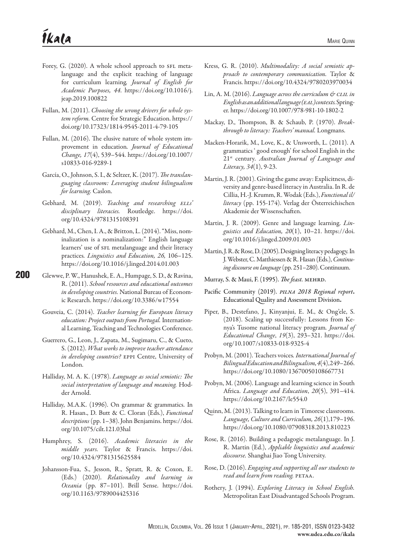- Forey, G. (2020). A whole school approach to SFL metalanguage and the explicit teaching of language for curriculum learning*. Journal of English for Academic Purposes, 44*. [https://doi.org/10.1016/j.](https://doi.org/10.1016/j.jeap.2019.100822) [jeap.2019.100822](https://doi.org/10.1016/j.jeap.2019.100822)
- Fullan, M. (2011). *Choosing the wrong drivers for whole system reform.* Centre for Strategic Education. [https://](https://doi.org/10.17323/1814-9545-2011-4-79-105) [doi.org/10.17323/1814-9545-2011-4-79-105](https://doi.org/10.17323/1814-9545-2011-4-79-105)
- Fullan, M. (2016). The elusive nature of whole system improvement in education*. Journal of Educational Change, 17*(4), 539–544. [https://doi.org/10.1007/](https://doi.org/10.1007/s10833-016-9289-1) [s10833-016-9289-1](https://doi.org/10.1007/s10833-016-9289-1)
- García, O., Johnson, S. I., & Seltzer, K. (2017). *The translanguaging classroom: Leveraging student bilingualism for learning.* Caslon.
- Gebhard, M. (2019). *Teaching and researching ells' disciplinary literacies.* Routledge. [https://doi.](https://doi.org/10.4324/9781315108391) [org/10.4324/9781315108391](https://doi.org/10.4324/9781315108391)
- Gebhard, M., Chen, I. A., & Britton, L. (2014). "Miss, nominalization is a nominalization:" English language learners' use of SFL metalanguage and their literacy practices*. Linguistics and Education, 26,* 106–125. <https://doi.org/10.1016/j.linged.2014.01.003>
- 200 Glewwe, P. W., Hanushek, E. A., Humpage, S. D., & Ravina, R. (2011). *School resources and educational outcomes in developing countries.* National Bureau of Economic Research.<https://doi.org/10.3386/w17554>
	- Gouveia, C. (2014). *Teacher learning for European literacy education: Project outputs from Portugal.* International Learning, Teaching and Technologies Conference.
	- Guerrero, G., Leon, J., Zapata, M., Sugimaru, C., & Cueto, S. (2012). *What works to improve teacher attendance in developing countries?* eppi Centre, University of London.
	- Halliday, M. A. K. (1978). *Language as social semiotic: The social interpretation of language and meaning.* Hodder Arnold.
	- Halliday, M.A.K. (1996). On grammar & grammatics. In R. Hasan., D. Butt & C. Cloran (Eds.), *Functional descriptions* (pp. 1–38). John Benjamins. [https://doi.](https://doi.org/10.1075/cilt.121.03hal) [org/10.1075/cilt.121.03hal](https://doi.org/10.1075/cilt.121.03hal)
	- Humphrey, S. (2016). *Academic literacies in the middle years.* Taylor & Francis. [https://doi.](https://doi.org/10.4324/9781315625584) [org/10.4324/9781315625584](https://doi.org/10.4324/9781315625584)
	- Johansson-Fua, S., Jesson, R., Spratt, R. & Coxon, E. (Eds.) (2020). *Relationality and learning in Oceania* (pp. 87–101). Brill Sense. [https://doi.](https://doi.org/10.1163/9789004425316) [org/10.1163/9789004425316](https://doi.org/10.1163/9789004425316)
- Kress, G. R. (2010). *Multimodality: A social semiotic approach to contemporary communication.* Taylor & Francis.<https://doi.org/10.4324/9780203970034>
- Lin, A. M. (2016). *Language across the curriculum & clil in English as an additional language (eal) contexts.* Springer. <https://doi.org/10.1007/978-981-10-1802-2>
- Mackay, D., Thompson, B. & Schaub, P. (1970). *Breakthrough to literacy: Teachers' manual.* Longmans.
- Macken-Horarik, M., Love, K., & Unsworth, L. (2011). A grammatics ' good enough' for school English in the 21st century*. Australian Journal of Language and Literacy, 34*(1), 9-23.
- Martin, J. R. (2001). Giving the game away: Explicitness, diversity and genre-based literacy in Australia. In R. de Cillia, H.-J. Krumm, R. Wodak (Eds.), *Functional il/ literacy* (pp. 155-174). Verlag der Österreichischen Akademie der Wissenschaften.
- Martin, J. R. (2009). Genre and language learning. *Linguistics and Education, 20*(1), 10–21. [https://doi.](https://doi.org/10.1016/j.linged.2009.01.003) [org/10.1016/j.linged.2009.01.003](https://doi.org/10.1016/j.linged.2009.01.003)
- Martin, J. R. & Rose, D. (2005). Designing literacy pedagogy. In J. Webster, C. Matthiessen & R. Hasan (Eds.), *Continuing discourse on language* (pp. 251–280). Continuum.
- Murray, S. & Maui, F. (1995). *The feast.* mehrd.
- Pacific Community (2019). *pilna 2018 Regional report*. Educational Quality and Assessment Division.
- Piper, B., Destefano, J., Kinyanjui, E. M., & Ong'ele, S. (2018). Scaling up successfully: Lessons from Kenya's Tusome national literacy program*. Journal of Educational Change*, *19*(3), 293–321. [https://doi.](https://doi.org/10.1007/s10833-018-9325-4) [org/10.1007/s10833-018-9325-4](https://doi.org/10.1007/s10833-018-9325-4)
- Probyn, M. (2001). Teachers voices*. International Journal of Bilingual Education and Bilingualism,4*(4), 249–266. <https://doi.org/10.1080/13670050108667731>
- Probyn, M. (2006). Language and learning science in South Africa. *Language and Education*, *20*(5), 391–414. <https://doi.org/10.2167/le554.0>
- Quinn, M. (2013). Talking to learn in Timorese classrooms. *Language, Culture and Curriculum, 26*(1),179–196. <https://doi.org/10.1080/07908318.2013.810223>
- Rose, R. (2016). Building a pedagogic metalanguage. In J. R. Martin (Ed.), *Appliable linguistics and academic discourse.* Shanghai Jiao Tong University.
- Rose, D. (2016). *Engaging and supporting all our students to read and learn from reading.* PETAA.
- Rothery, J. (1994). *Exploring Literacy in School English.*  Metropolitan East Disadvantaged Schools Program.